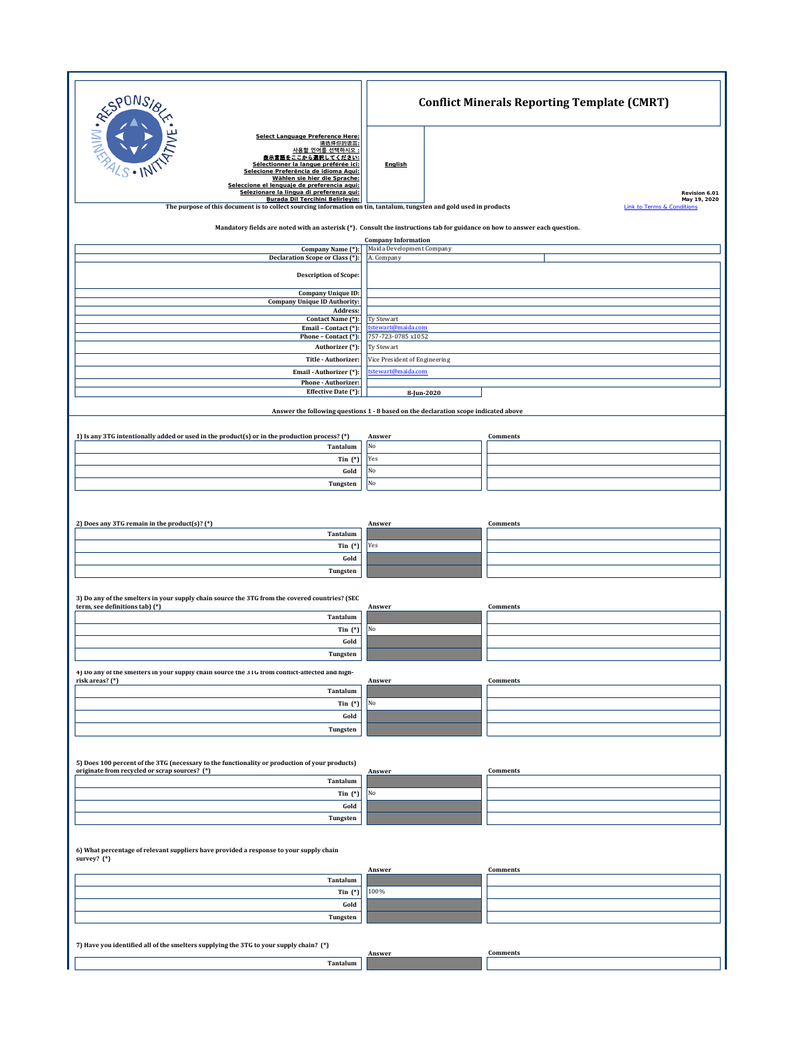| RESPONS<br>Select Language Preference Here:<br>请选择你的语言:<br>사용할 언어를 선택하시오 :<br><u>表示言語をここから選択してください:</u><br>Sélectionner la langue préférée ici:<br>Selecione Preferência de idioma Aqui:<br>Wählen sie hier die Sprache:<br>Seleccione el lenguaje de preferencia aqui:<br>Selezionare la lingua di preferenza qui:<br>Burada Dil Tercihini Belirleyin: | <b>Conflict Minerals Reporting Template (CMRT)</b>      |                               |  |  |  |  |
|---------------------------------------------------------------------------------------------------------------------------------------------------------------------------------------------------------------------------------------------------------------------------------------------------------------------------------------------------------|---------------------------------------------------------|-------------------------------|--|--|--|--|
|                                                                                                                                                                                                                                                                                                                                                         | English                                                 | Revision 6.01<br>May 19, 2020 |  |  |  |  |
| The purpose of this document is to collect sourcing information on tin, tantalum, tungsten and gold used in products<br>Mandatory fields are noted with an asterisk (*). Consult the instructions tab for guidance on how to answer each question.                                                                                                      |                                                         | Link to Terms & Conditions    |  |  |  |  |
| Company Name (*):                                                                                                                                                                                                                                                                                                                                       | <b>Company Information</b><br>Maida Development Company |                               |  |  |  |  |
| Declaration Scope or Class (*):                                                                                                                                                                                                                                                                                                                         | A. Company                                              |                               |  |  |  |  |
| <b>Description of Scope:</b>                                                                                                                                                                                                                                                                                                                            |                                                         |                               |  |  |  |  |
| Company Unique ID:<br><b>Company Unique ID Authority:</b>                                                                                                                                                                                                                                                                                               |                                                         |                               |  |  |  |  |
| Address:<br>Contact Name (*):                                                                                                                                                                                                                                                                                                                           | Ty Stewart                                              |                               |  |  |  |  |
| Email - Contact (*):<br>Phone - Contact (*):                                                                                                                                                                                                                                                                                                            | tstewart@maida.com<br>757-723-0785 x1052                |                               |  |  |  |  |
| Authorizer (*):                                                                                                                                                                                                                                                                                                                                         | Ty Stewart                                              |                               |  |  |  |  |
| Title - Authorizer:<br>Email - Authorizer (*):                                                                                                                                                                                                                                                                                                          | Vice President of Engineering<br>tstewart@maida.com     |                               |  |  |  |  |
| Phone - Authorizer:<br>Effective Date (*):                                                                                                                                                                                                                                                                                                              | 8-Jun-2020                                              |                               |  |  |  |  |
| Answer the following questions 1 - 8 based on the declaration scope indicated above                                                                                                                                                                                                                                                                     |                                                         |                               |  |  |  |  |
|                                                                                                                                                                                                                                                                                                                                                         |                                                         |                               |  |  |  |  |
| 1) Is any 3TG intentionally added or used in the product(s) or in the production process? (*)<br>Tantalum                                                                                                                                                                                                                                               | Answer<br>No                                            | Comments                      |  |  |  |  |
| Tin $(*)$                                                                                                                                                                                                                                                                                                                                               | Yes                                                     |                               |  |  |  |  |
| Gold                                                                                                                                                                                                                                                                                                                                                    | No                                                      |                               |  |  |  |  |
| Tungsten                                                                                                                                                                                                                                                                                                                                                | No                                                      |                               |  |  |  |  |
|                                                                                                                                                                                                                                                                                                                                                         |                                                         |                               |  |  |  |  |
| 2) Does any 3TG remain in the product(s)? (*)<br>Tantalum                                                                                                                                                                                                                                                                                               | Answer                                                  | Comments                      |  |  |  |  |
| Tin $(*)$                                                                                                                                                                                                                                                                                                                                               | Yes                                                     |                               |  |  |  |  |
| Gold                                                                                                                                                                                                                                                                                                                                                    |                                                         |                               |  |  |  |  |
| Tungsten                                                                                                                                                                                                                                                                                                                                                |                                                         |                               |  |  |  |  |
| 3) Do any of the smelters in your supply chain source the 3TG from the covered countries? (SEC                                                                                                                                                                                                                                                          |                                                         |                               |  |  |  |  |
| term, see definitions tab) (*)<br>Tantalum                                                                                                                                                                                                                                                                                                              | Answer                                                  | Comments                      |  |  |  |  |
| Tin $(*)$                                                                                                                                                                                                                                                                                                                                               | No                                                      |                               |  |  |  |  |
| Gold<br>Tungsten                                                                                                                                                                                                                                                                                                                                        |                                                         |                               |  |  |  |  |
| 4) Do any of the smelters in your supply chain source the 3TG from conflict-affected and high-                                                                                                                                                                                                                                                          |                                                         |                               |  |  |  |  |
| risk areas? (*)<br>Tantalum                                                                                                                                                                                                                                                                                                                             | Answer                                                  | Comments                      |  |  |  |  |
| Tin $(*)$                                                                                                                                                                                                                                                                                                                                               | No                                                      |                               |  |  |  |  |
| Gold                                                                                                                                                                                                                                                                                                                                                    |                                                         |                               |  |  |  |  |
| Tungsten                                                                                                                                                                                                                                                                                                                                                |                                                         |                               |  |  |  |  |
|                                                                                                                                                                                                                                                                                                                                                         |                                                         |                               |  |  |  |  |
| 5) Does 100 percent of the 3TG (necessary to the functionality or production of your products)<br>originate from recycled or scrap sources? (*)                                                                                                                                                                                                         | Answer                                                  | Comments                      |  |  |  |  |
| Tantalum<br>Tin $(*)$                                                                                                                                                                                                                                                                                                                                   | No                                                      |                               |  |  |  |  |
| Gold                                                                                                                                                                                                                                                                                                                                                    |                                                         |                               |  |  |  |  |
| Tungsten                                                                                                                                                                                                                                                                                                                                                |                                                         |                               |  |  |  |  |
| 6) What percentage of relevant suppliers have provided a response to your supply chain<br>survey? (*)                                                                                                                                                                                                                                                   |                                                         |                               |  |  |  |  |
|                                                                                                                                                                                                                                                                                                                                                         | Answer                                                  | Comments                      |  |  |  |  |
| Tantalum<br>Tin $(*)$                                                                                                                                                                                                                                                                                                                                   | 100%                                                    |                               |  |  |  |  |
| Gold                                                                                                                                                                                                                                                                                                                                                    |                                                         |                               |  |  |  |  |
| Tungsten                                                                                                                                                                                                                                                                                                                                                |                                                         |                               |  |  |  |  |
| 7) Have you identified all of the smelters supplying the 3TG to your supply chain? (*)                                                                                                                                                                                                                                                                  |                                                         |                               |  |  |  |  |
| Tantalum                                                                                                                                                                                                                                                                                                                                                | Answer                                                  | Comments                      |  |  |  |  |
|                                                                                                                                                                                                                                                                                                                                                         |                                                         |                               |  |  |  |  |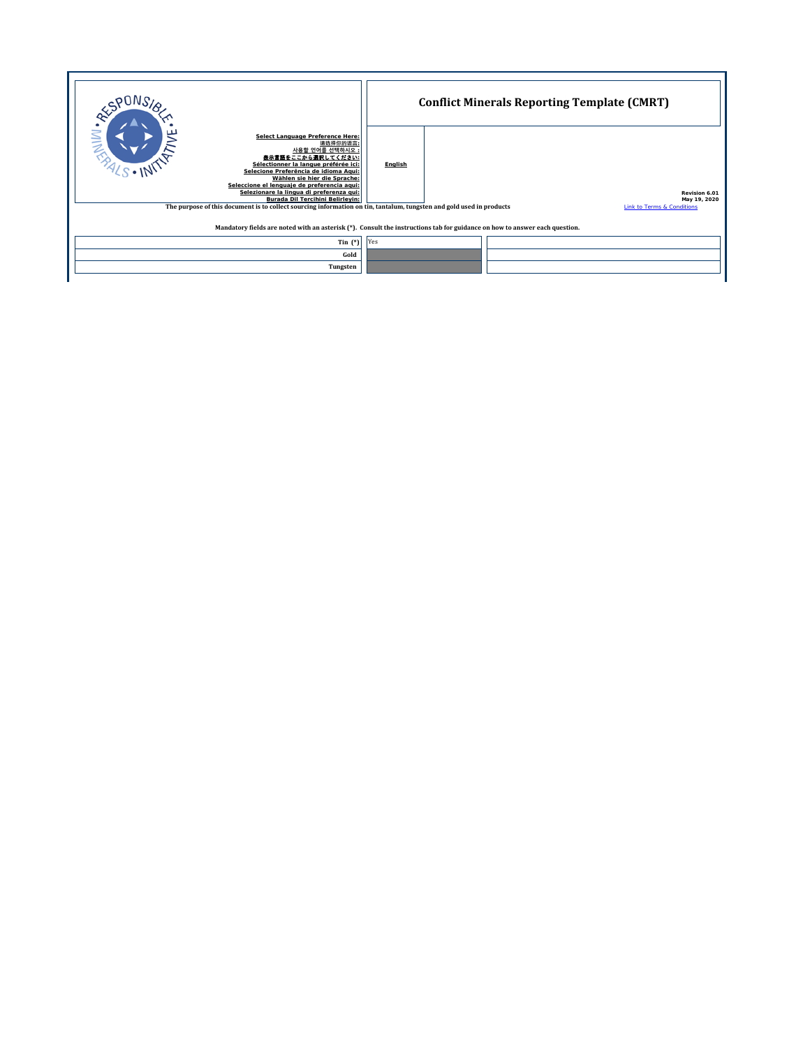|                                                                                                                                                                                                                                                                                                                                                       | <b>Conflict Minerals Reporting Template (CMRT)</b> |  |                               |  |  |  |
|-------------------------------------------------------------------------------------------------------------------------------------------------------------------------------------------------------------------------------------------------------------------------------------------------------------------------------------------------------|----------------------------------------------------|--|-------------------------------|--|--|--|
| $\frac{N}{2}$<br>Select Language Preference Here:<br>请选择你的语言:<br>사용할 언어를 선택하시오 :<br>表示言語をここから選択してください<br>Sélectionner la langue préférée ici:<br>Selecione Preferência de idioma Agui:<br>Wählen sie hier die Sprache:<br>Seleccione el lenguaie de preferencia agui:<br>Selezionare la lingua di preferenza qui:<br>Burada Dil Tercihini Belirleyin: | English                                            |  | Revision 6.01<br>May 19, 2020 |  |  |  |
| <b>Link to Terms &amp; Conditions</b><br>The purpose of this document is to collect sourcing information on tin, tantalum, tungsten and gold used in products                                                                                                                                                                                         |                                                    |  |                               |  |  |  |
| Mandatory fields are noted with an asterisk (*). Consult the instructions tab for guidance on how to answer each question.                                                                                                                                                                                                                            |                                                    |  |                               |  |  |  |
| Tin $(*)$                                                                                                                                                                                                                                                                                                                                             | Yes                                                |  |                               |  |  |  |
| Gold                                                                                                                                                                                                                                                                                                                                                  |                                                    |  |                               |  |  |  |
| Tungsten                                                                                                                                                                                                                                                                                                                                              |                                                    |  |                               |  |  |  |